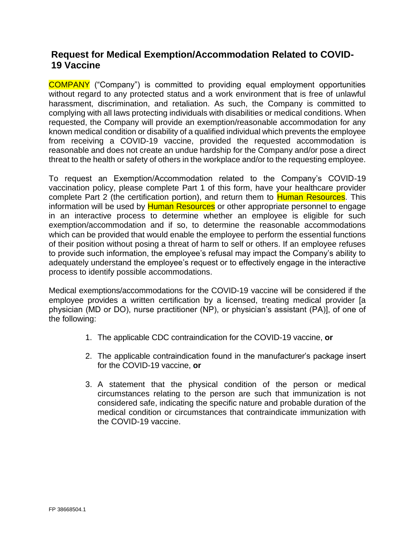# **Request for Medical Exemption/Accommodation Related to COVID-19 Vaccine**

COMPANY ("Company") is committed to providing equal employment opportunities without regard to any protected status and a work environment that is free of unlawful harassment, discrimination, and retaliation. As such, the Company is committed to complying with all laws protecting individuals with disabilities or medical conditions. When requested, the Company will provide an exemption/reasonable accommodation for any known medical condition or disability of a qualified individual which prevents the employee from receiving a COVID-19 vaccine, provided the requested accommodation is reasonable and does not create an undue hardship for the Company and/or pose a direct threat to the health or safety of others in the workplace and/or to the requesting employee.

To request an Exemption/Accommodation related to the Company's COVID-19 vaccination policy, please complete Part 1 of this form, have your healthcare provider complete Part 2 (the certification portion), and return them to **Human Resources**. This information will be used by Human Resources or other appropriate personnel to engage in an interactive process to determine whether an employee is eligible for such exemption/accommodation and if so, to determine the reasonable accommodations which can be provided that would enable the employee to perform the essential functions of their position without posing a threat of harm to self or others. If an employee refuses to provide such information, the employee's refusal may impact the Company's ability to adequately understand the employee's request or to effectively engage in the interactive process to identify possible accommodations.

Medical exemptions/accommodations for the COVID-19 vaccine will be considered if the employee provides a written certification by a licensed, treating medical provider [a physician (MD or DO), nurse practitioner (NP), or physician's assistant (PA)], of one of the following:

- 1. The applicable CDC contraindication for the COVID-19 vaccine, **or**
- 2. The applicable contraindication found in the manufacturer's package insert for the COVID-19 vaccine, **or**
- 3. A statement that the physical condition of the person or medical circumstances relating to the person are such that immunization is not considered safe, indicating the specific nature and probable duration of the medical condition or circumstances that contraindicate immunization with the COVID-19 vaccine.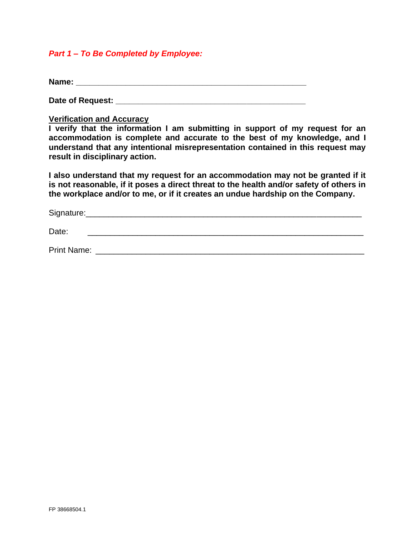## *Part 1 – To Be Completed by Employee:*

**Name: Name:** *Name:* **<b>***Name: Name: Name: <i>Name: <i>Name: <i>PARES* 

**Date of Request: \_\_\_\_\_\_\_\_\_\_\_\_\_\_\_\_\_\_\_\_\_\_\_\_\_\_\_\_\_\_\_\_\_\_\_\_\_\_\_\_\_\_**

#### **Verification and Accuracy**

**I verify that the information I am submitting in support of my request for an accommodation is complete and accurate to the best of my knowledge, and I understand that any intentional misrepresentation contained in this request may result in disciplinary action.**

**I also understand that my request for an accommodation may not be granted if it is not reasonable, if it poses a direct threat to the health and/or safety of others in the workplace and/or to me, or if it creates an undue hardship on the Company.**

| Signature: |  |  |  |
|------------|--|--|--|
|            |  |  |  |

Date: \_\_\_\_\_\_\_\_\_\_\_\_\_\_\_\_\_\_\_\_\_\_\_\_\_\_\_\_\_\_\_\_\_\_\_\_\_\_\_\_\_\_\_\_\_\_\_\_\_\_\_\_\_\_\_\_\_\_\_\_\_

Print Name: \_\_\_\_\_\_\_\_\_\_\_\_\_\_\_\_\_\_\_\_\_\_\_\_\_\_\_\_\_\_\_\_\_\_\_\_\_\_\_\_\_\_\_\_\_\_\_\_\_\_\_\_\_\_\_\_\_\_\_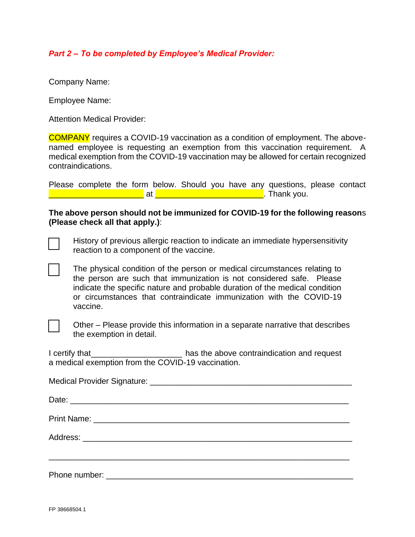# *Part 2 – To be completed by Employee's Medical Provider:*

Company Name:

Employee Name:

Attention Medical Provider:

COMPANY requires a COVID-19 vaccination as a condition of employment. The abovenamed employee is requesting an exemption from this vaccination requirement. A medical exemption from the COVID-19 vaccination may be allowed for certain recognized contraindications.

Please complete the form below. Should you have any questions, please contact **Example 2** at  $\begin{bmatrix} 1 & 1 \\ 2 & 3 \end{bmatrix}$  at  $\begin{bmatrix} 2 & 3 \\ 3 & 4 \end{bmatrix}$  at  $\begin{bmatrix} 3 & 3 \\ 3 & 4 \end{bmatrix}$ . Thank you.

### **The above person should not be immunized for COVID-19 for the following reason**s **(Please check all that apply.)**:

History of previous allergic reaction to indicate an immediate hypersensitivity reaction to a component of the vaccine.

The physical condition of the person or medical circumstances relating to the person are such that immunization is not considered safe. Please indicate the specific nature and probable duration of the medical condition or circumstances that contraindicate immunization with the COVID-19 vaccine.



Other – Please provide this information in a separate narrative that describes the exemption in detail.

I certify that\_\_\_\_\_\_\_\_\_\_\_\_\_\_\_\_\_\_\_\_ has the above contraindication and request a medical exemption from the COVID-19 vaccination.